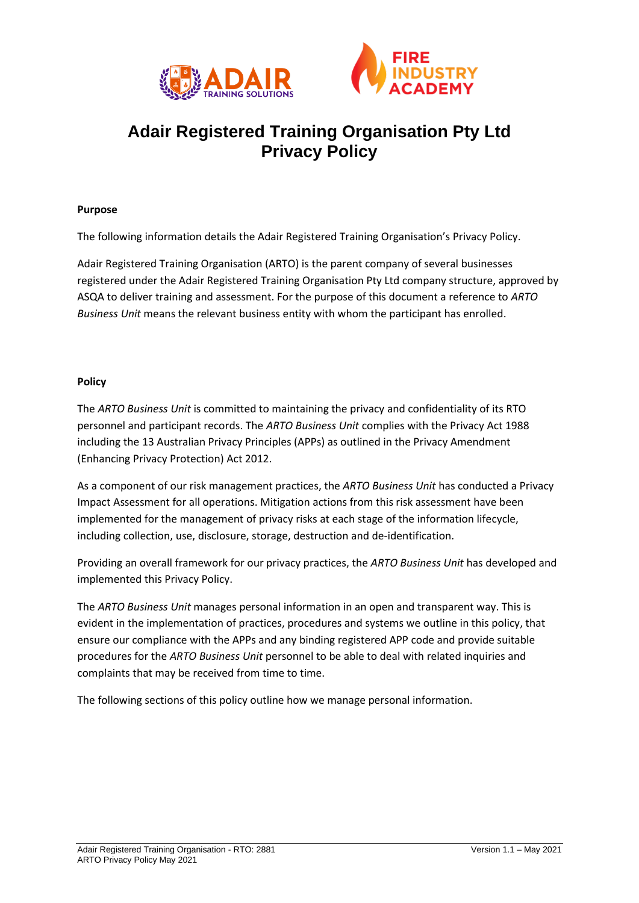



# **Adair Registered Training Organisation Pty Ltd Privacy Policy**

#### **Purpose**

The following information details the Adair Registered Training Organisation's Privacy Policy.

Adair Registered Training Organisation (ARTO) is the parent company of several businesses registered under the Adair Registered Training Organisation Pty Ltd company structure, approved by ASQA to deliver training and assessment. For the purpose of this document a reference to *ARTO Business Unit* means the relevant business entity with whom the participant has enrolled.

#### **Policy**

The *ARTO Business Unit* is committed to maintaining the privacy and confidentiality of its RTO personnel and participant records. The *ARTO Business Unit* complies with the Privacy Act 1988 including the 13 Australian Privacy Principles (APPs) as outlined in the Privacy Amendment (Enhancing Privacy Protection) Act 2012.

As a component of our risk management practices, the *ARTO Business Unit* has conducted a Privacy Impact Assessment for all operations. Mitigation actions from this risk assessment have been implemented for the management of privacy risks at each stage of the information lifecycle, including collection, use, disclosure, storage, destruction and de-identification.

Providing an overall framework for our privacy practices, the *ARTO Business Unit* has developed and implemented this Privacy Policy.

The *ARTO Business Unit* manages personal information in an open and transparent way. This is evident in the implementation of practices, procedures and systems we outline in this policy, that ensure our compliance with the APPs and any binding registered APP code and provide suitable procedures for the *ARTO Business Unit* personnel to be able to deal with related inquiries and complaints that may be received from time to time.

The following sections of this policy outline how we manage personal information.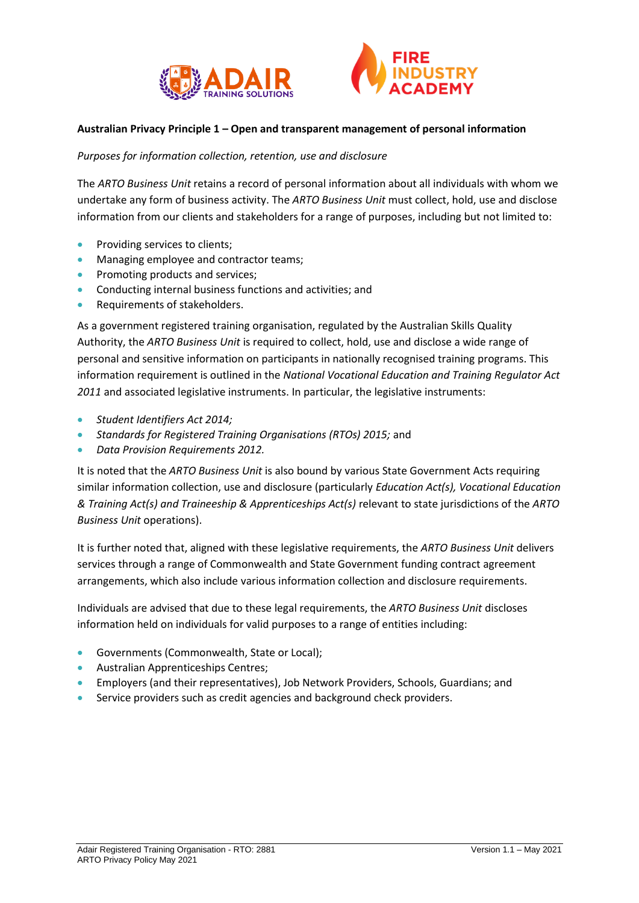



## **Australian Privacy Principle 1 – Open and transparent management of personal information**

*Purposes for information collection, retention, use and disclosure*

The *ARTO Business Unit* retains a record of personal information about all individuals with whom we undertake any form of business activity. The *ARTO Business Unit* must collect, hold, use and disclose information from our clients and stakeholders for a range of purposes, including but not limited to:

- Providing services to clients;
- Managing employee and contractor teams;
- Promoting products and services;
- Conducting internal business functions and activities; and
- Requirements of stakeholders.

As a government registered training organisation, regulated by the Australian Skills Quality Authority, the *ARTO Business Unit* is required to collect, hold, use and disclose a wide range of personal and sensitive information on participants in nationally recognised training programs. This information requirement is outlined in the *National Vocational Education and Training Regulator Act 2011* and associated legislative instruments. In particular, the legislative instruments:

- *Student Identifiers Act 2014;*
- *Standards for Registered Training Organisations (RTOs) 2015;* and
- *Data Provision Requirements 2012.*

It is noted that the *ARTO Business Unit* is also bound by various State Government Acts requiring similar information collection, use and disclosure (particularly *Education Act(s), Vocational Education & Training Act(s) and Traineeship & Apprenticeships Act(s)* relevant to state jurisdictions of the *ARTO Business Unit* operations).

It is further noted that, aligned with these legislative requirements, the *ARTO Business Unit* delivers services through a range of Commonwealth and State Government funding contract agreement arrangements, which also include various information collection and disclosure requirements.

Individuals are advised that due to these legal requirements, the *ARTO Business Unit* discloses information held on individuals for valid purposes to a range of entities including:

- Governments (Commonwealth, State or Local);
- Australian Apprenticeships Centres;
- Employers (and their representatives), Job Network Providers, Schools, Guardians; and
- Service providers such as credit agencies and background check providers.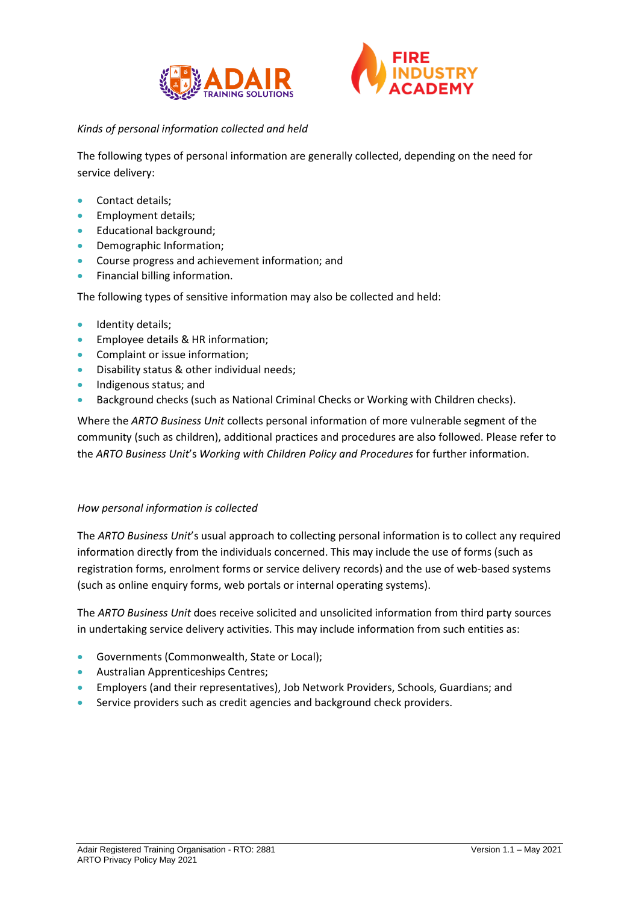



# *Kinds of personal information collected and held*

The following types of personal information are generally collected, depending on the need for service delivery:

- Contact details;
- Employment details;
- Educational background;
- Demographic Information;
- Course progress and achievement information; and
- Financial billing information.

The following types of sensitive information may also be collected and held:

- Identity details;
- Employee details & HR information;
- Complaint or issue information;
- Disability status & other individual needs;
- Indigenous status; and
- Background checks (such as National Criminal Checks or Working with Children checks).

Where the *ARTO Business Unit* collects personal information of more vulnerable segment of the community (such as children), additional practices and procedures are also followed. Please refer to the *ARTO Business Unit*'s *Working with Children Policy and Procedures* for further information.

# *How personal information is collected*

The *ARTO Business Unit*'s usual approach to collecting personal information is to collect any required information directly from the individuals concerned. This may include the use of forms (such as registration forms, enrolment forms or service delivery records) and the use of web-based systems (such as online enquiry forms, web portals or internal operating systems).

The *ARTO Business Unit* does receive solicited and unsolicited information from third party sources in undertaking service delivery activities. This may include information from such entities as:

- Governments (Commonwealth, State or Local);
- Australian Apprenticeships Centres;
- Employers (and their representatives), Job Network Providers, Schools, Guardians; and
- Service providers such as credit agencies and background check providers.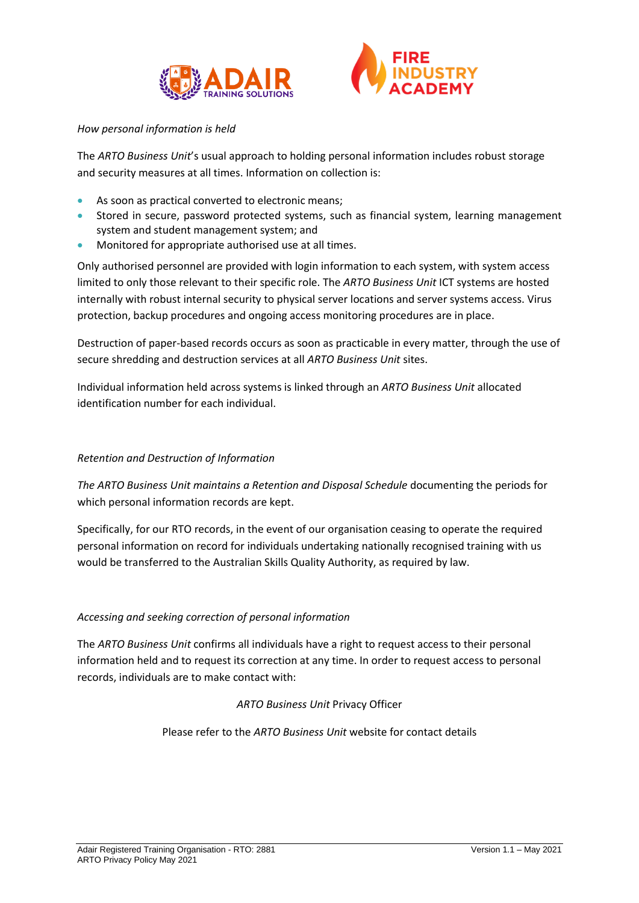



## *How personal information is held*

The *ARTO Business Unit*'s usual approach to holding personal information includes robust storage and security measures at all times. Information on collection is:

- As soon as practical converted to electronic means:
- Stored in secure, password protected systems, such as financial system, learning management system and student management system; and
- Monitored for appropriate authorised use at all times.

Only authorised personnel are provided with login information to each system, with system access limited to only those relevant to their specific role. The *ARTO Business Unit* ICT systems are hosted internally with robust internal security to physical server locations and server systems access. Virus protection, backup procedures and ongoing access monitoring procedures are in place.

Destruction of paper-based records occurs as soon as practicable in every matter, through the use of secure shredding and destruction services at all *ARTO Business Unit* sites.

Individual information held across systems is linked through an *ARTO Business Unit* allocated identification number for each individual.

# *Retention and Destruction of Information*

*The ARTO Business Unit maintains a Retention and Disposal Schedule* documenting the periods for which personal information records are kept.

Specifically, for our RTO records, in the event of our organisation ceasing to operate the required personal information on record for individuals undertaking nationally recognised training with us would be transferred to the Australian Skills Quality Authority, as required by law.

# *Accessing and seeking correction of personal information*

The *ARTO Business Unit* confirms all individuals have a right to request access to their personal information held and to request its correction at any time. In order to request access to personal records, individuals are to make contact with:

# *ARTO Business Unit* Privacy Officer

Please refer to the *ARTO Business Unit* website for contact details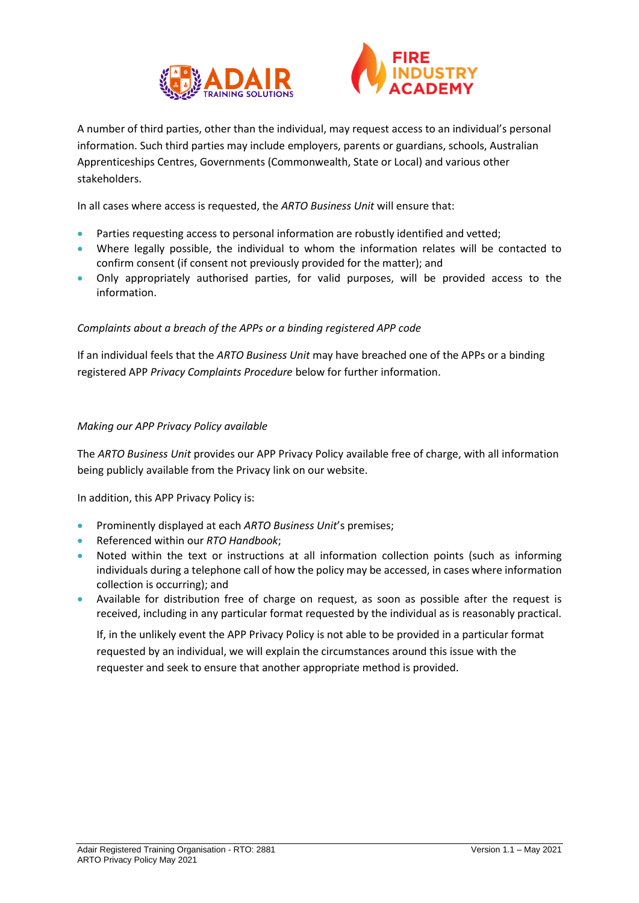



A number of third parties, other than the individual, may request access to an individual's personal information. Such third parties may include employers, parents or guardians, schools, Australian Apprenticeships Centres, Governments (Commonwealth, State or Local) and various other stakeholders.

In all cases where access is requested, the *ARTO Business Unit* will ensure that:

- Parties requesting access to personal information are robustly identified and vetted;
- Where legally possible, the individual to whom the information relates will be contacted to confirm consent (if consent not previously provided for the matter); and
- Only appropriately authorised parties, for valid purposes, will be provided access to the information.

#### *Complaints about a breach of the APPs or a binding registered APP code*

If an individual feels that the *ARTO Business Unit* may have breached one of the APPs or a binding registered APP *Privacy Complaints Procedure* below for further information.

#### *Making our APP Privacy Policy available*

The *ARTO Business Unit* provides our APP Privacy Policy available free of charge, with all information being publicly available from the Privacy link on our website.

In addition, this APP Privacy Policy is:

- Prominently displayed at each *ARTO Business Unit*'s premises;
- Referenced within our *RTO Handbook*;
- Noted within the text or instructions at all information collection points (such as informing individuals during a telephone call of how the policy may be accessed, in cases where information collection is occurring); and
- Available for distribution free of charge on request, as soon as possible after the request is received, including in any particular format requested by the individual as is reasonably practical.

If, in the unlikely event the APP Privacy Policy is not able to be provided in a particular format requested by an individual, we will explain the circumstances around this issue with the requester and seek to ensure that another appropriate method is provided.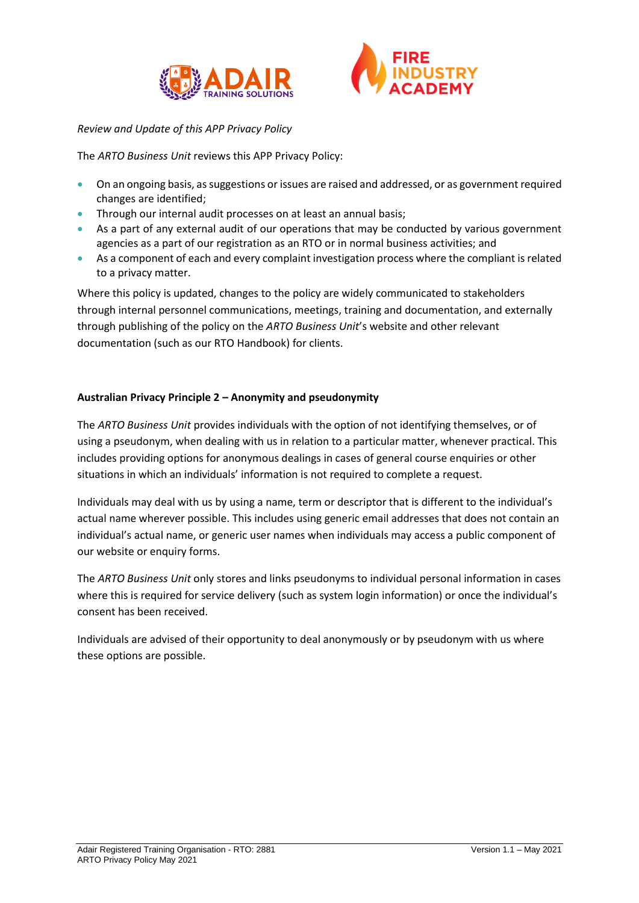



## *Review and Update of this APP Privacy Policy*

The *ARTO Business Unit* reviews this APP Privacy Policy:

- On an ongoing basis, as suggestions or issues are raised and addressed, or as government required changes are identified;
- Through our internal audit processes on at least an annual basis;
- As a part of any external audit of our operations that may be conducted by various government agencies as a part of our registration as an RTO or in normal business activities; and
- As a component of each and every complaint investigation process where the compliant is related to a privacy matter.

Where this policy is updated, changes to the policy are widely communicated to stakeholders through internal personnel communications, meetings, training and documentation, and externally through publishing of the policy on the *ARTO Business Unit*'s website and other relevant documentation (such as our RTO Handbook) for clients.

#### **Australian Privacy Principle 2 – Anonymity and pseudonymity**

The *ARTO Business Unit* provides individuals with the option of not identifying themselves, or of using a pseudonym, when dealing with us in relation to a particular matter, whenever practical. This includes providing options for anonymous dealings in cases of general course enquiries or other situations in which an individuals' information is not required to complete a request.

Individuals may deal with us by using a name, term or descriptor that is different to the individual's actual name wherever possible. This includes using generic email addresses that does not contain an individual's actual name, or generic user names when individuals may access a public component of our website or enquiry forms.

The *ARTO Business Unit* only stores and links pseudonyms to individual personal information in cases where this is required for service delivery (such as system login information) or once the individual's consent has been received.

Individuals are advised of their opportunity to deal anonymously or by pseudonym with us where these options are possible.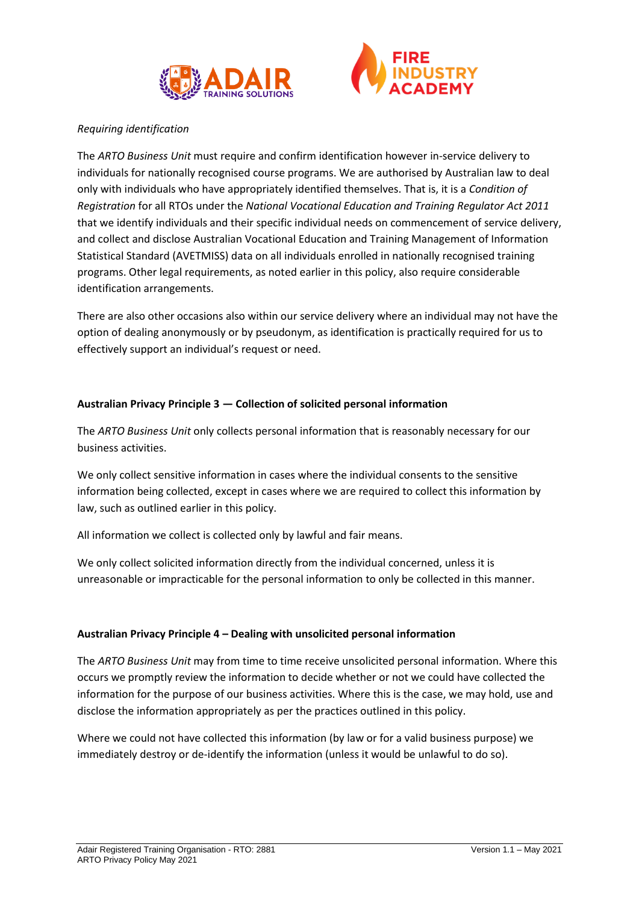



## *Requiring identification*

The *ARTO Business Unit* must require and confirm identification however in-service delivery to individuals for nationally recognised course programs. We are authorised by Australian law to deal only with individuals who have appropriately identified themselves. That is, it is a *Condition of Registration* for all RTOs under the *National Vocational Education and Training Regulator Act 2011* that we identify individuals and their specific individual needs on commencement of service delivery, and collect and disclose Australian Vocational Education and Training Management of Information Statistical Standard (AVETMISS) data on all individuals enrolled in nationally recognised training programs. Other legal requirements, as noted earlier in this policy, also require considerable identification arrangements.

There are also other occasions also within our service delivery where an individual may not have the option of dealing anonymously or by pseudonym, as identification is practically required for us to effectively support an individual's request or need.

#### **Australian Privacy Principle 3 — Collection of solicited personal information**

The *ARTO Business Unit* only collects personal information that is reasonably necessary for our business activities.

We only collect sensitive information in cases where the individual consents to the sensitive information being collected, except in cases where we are required to collect this information by law, such as outlined earlier in this policy.

All information we collect is collected only by lawful and fair means.

We only collect solicited information directly from the individual concerned, unless it is unreasonable or impracticable for the personal information to only be collected in this manner.

#### **Australian Privacy Principle 4 – Dealing with unsolicited personal information**

The *ARTO Business Unit* may from time to time receive unsolicited personal information. Where this occurs we promptly review the information to decide whether or not we could have collected the information for the purpose of our business activities. Where this is the case, we may hold, use and disclose the information appropriately as per the practices outlined in this policy.

Where we could not have collected this information (by law or for a valid business purpose) we immediately destroy or de-identify the information (unless it would be unlawful to do so).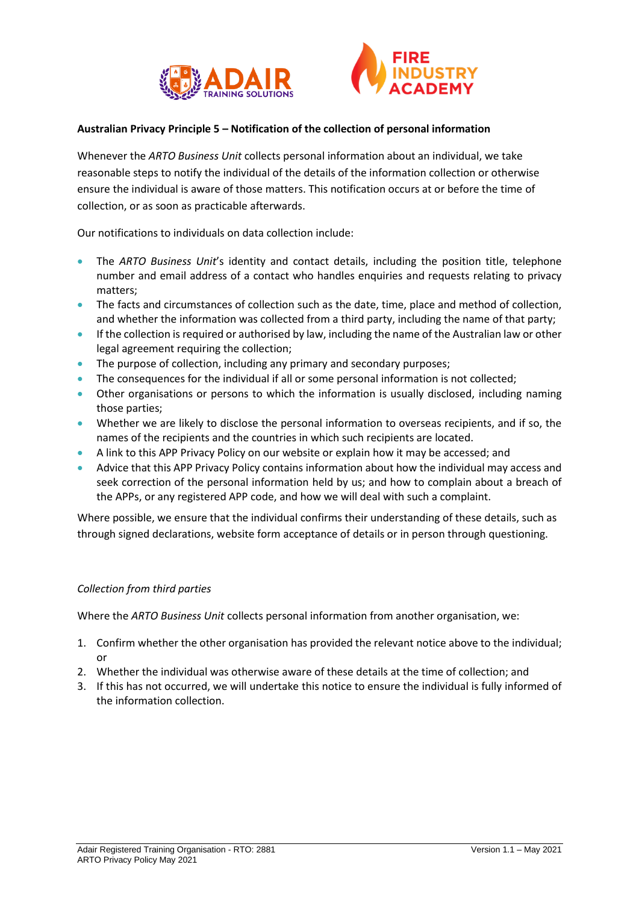



#### **Australian Privacy Principle 5 – Notification of the collection of personal information**

Whenever the *ARTO Business Unit* collects personal information about an individual, we take reasonable steps to notify the individual of the details of the information collection or otherwise ensure the individual is aware of those matters. This notification occurs at or before the time of collection, or as soon as practicable afterwards.

Our notifications to individuals on data collection include:

- The *ARTO Business Unit*'s identity and contact details, including the position title, telephone number and email address of a contact who handles enquiries and requests relating to privacy matters;
- The facts and circumstances of collection such as the date, time, place and method of collection, and whether the information was collected from a third party, including the name of that party;
- If the collection is required or authorised by law, including the name of the Australian law or other legal agreement requiring the collection;
- The purpose of collection, including any primary and secondary purposes;
- The consequences for the individual if all or some personal information is not collected;
- Other organisations or persons to which the information is usually disclosed, including naming those parties;
- Whether we are likely to disclose the personal information to overseas recipients, and if so, the names of the recipients and the countries in which such recipients are located.
- A link to this APP Privacy Policy on our website or explain how it may be accessed; and
- Advice that this APP Privacy Policy contains information about how the individual may access and seek correction of the personal information held by us; and how to complain about a breach of the APPs, or any registered APP code, and how we will deal with such a complaint.

Where possible, we ensure that the individual confirms their understanding of these details, such as through signed declarations, website form acceptance of details or in person through questioning.

#### *Collection from third parties*

Where the *ARTO Business Unit* collects personal information from another organisation, we:

- 1. Confirm whether the other organisation has provided the relevant notice above to the individual; or
- 2. Whether the individual was otherwise aware of these details at the time of collection; and
- 3. If this has not occurred, we will undertake this notice to ensure the individual is fully informed of the information collection.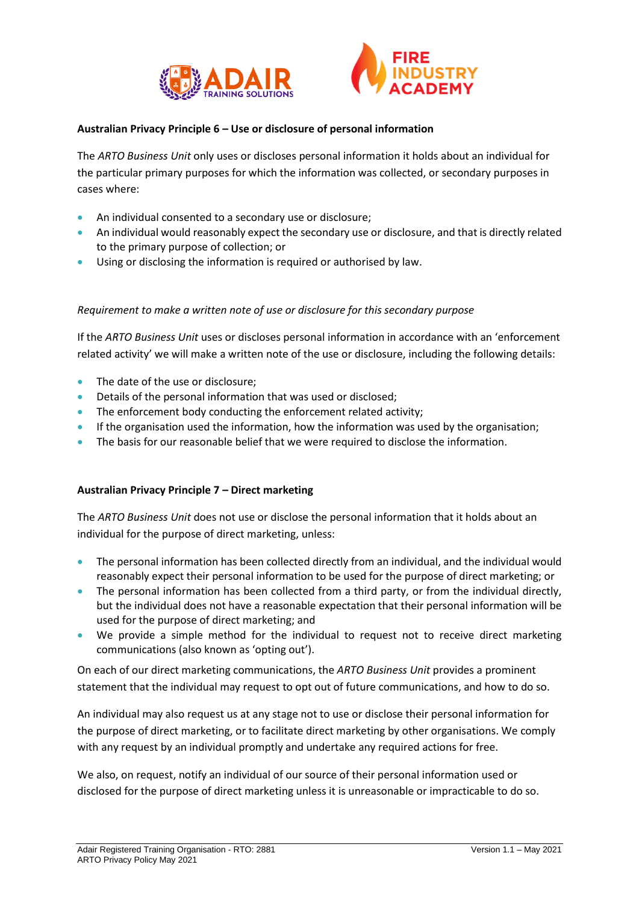



## **Australian Privacy Principle 6 – Use or disclosure of personal information**

The *ARTO Business Unit* only uses or discloses personal information it holds about an individual for the particular primary purposes for which the information was collected, or secondary purposes in cases where:

- An individual consented to a secondary use or disclosure;
- An individual would reasonably expect the secondary use or disclosure, and that is directly related to the primary purpose of collection; or
- Using or disclosing the information is required or authorised by law.

#### *Requirement to make a written note of use or disclosure for this secondary purpose*

If the *ARTO Business Unit* uses or discloses personal information in accordance with an 'enforcement related activity' we will make a written note of the use or disclosure, including the following details:

- The date of the use or disclosure:
- Details of the personal information that was used or disclosed;
- The enforcement body conducting the enforcement related activity;
- If the organisation used the information, how the information was used by the organisation;
- The basis for our reasonable belief that we were required to disclose the information.

#### **Australian Privacy Principle 7 – Direct marketing**

The *ARTO Business Unit* does not use or disclose the personal information that it holds about an individual for the purpose of direct marketing, unless:

- The personal information has been collected directly from an individual, and the individual would reasonably expect their personal information to be used for the purpose of direct marketing; or
- The personal information has been collected from a third party, or from the individual directly, but the individual does not have a reasonable expectation that their personal information will be used for the purpose of direct marketing; and
- We provide a simple method for the individual to request not to receive direct marketing communications (also known as 'opting out').

On each of our direct marketing communications, the *ARTO Business Unit* provides a prominent statement that the individual may request to opt out of future communications, and how to do so.

An individual may also request us at any stage not to use or disclose their personal information for the purpose of direct marketing, or to facilitate direct marketing by other organisations. We comply with any request by an individual promptly and undertake any required actions for free.

We also, on request, notify an individual of our source of their personal information used or disclosed for the purpose of direct marketing unless it is unreasonable or impracticable to do so.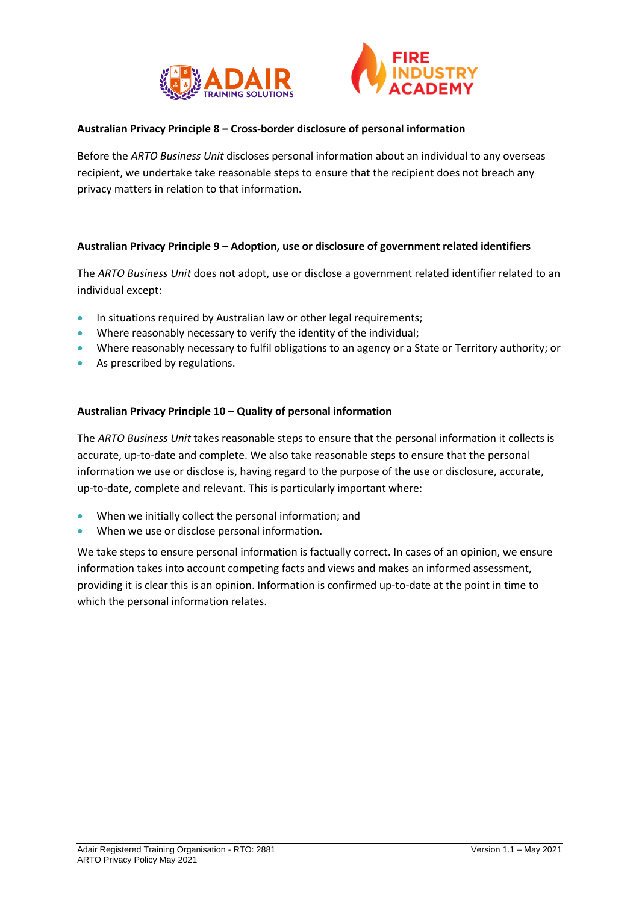



## **Australian Privacy Principle 8 – Cross-border disclosure of personal information**

Before the *ARTO Business Unit* discloses personal information about an individual to any overseas recipient, we undertake take reasonable steps to ensure that the recipient does not breach any privacy matters in relation to that information.

#### **Australian Privacy Principle 9 – Adoption, use or disclosure of government related identifiers**

The *ARTO Business Unit* does not adopt, use or disclose a government related identifier related to an individual except:

- In situations required by Australian law or other legal requirements;
- Where reasonably necessary to verify the identity of the individual;
- Where reasonably necessary to fulfil obligations to an agency or a State or Territory authority; or
- As prescribed by regulations.

#### **Australian Privacy Principle 10 – Quality of personal information**

The *ARTO Business Unit* takes reasonable steps to ensure that the personal information it collects is accurate, up-to-date and complete. We also take reasonable steps to ensure that the personal information we use or disclose is, having regard to the purpose of the use or disclosure, accurate, up-to-date, complete and relevant. This is particularly important where:

- When we initially collect the personal information; and
- When we use or disclose personal information.

We take steps to ensure personal information is factually correct. In cases of an opinion, we ensure information takes into account competing facts and views and makes an informed assessment, providing it is clear this is an opinion. Information is confirmed up-to-date at the point in time to which the personal information relates.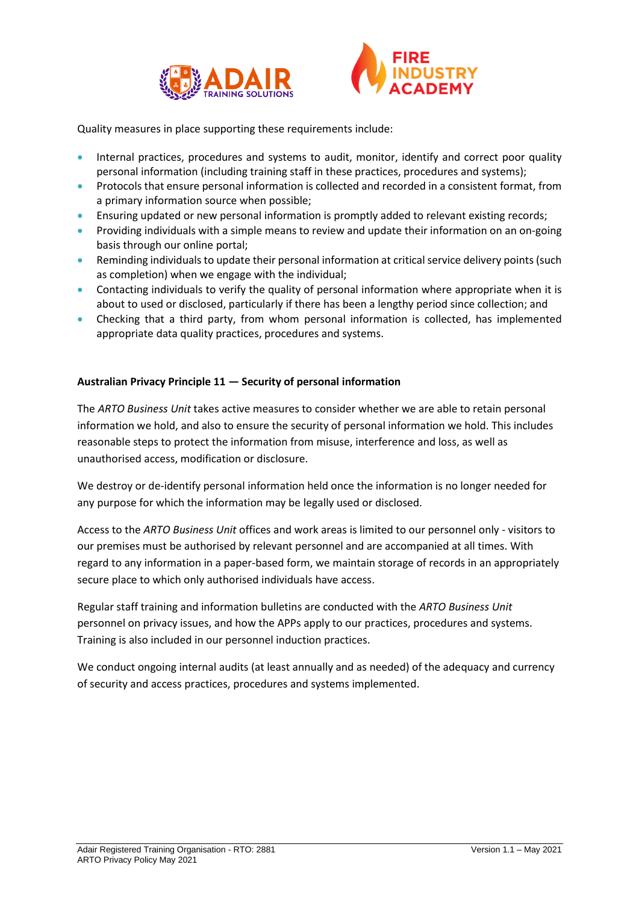



Quality measures in place supporting these requirements include:

- Internal practices, procedures and systems to audit, monitor, identify and correct poor quality personal information (including training staff in these practices, procedures and systems);
- Protocols that ensure personal information is collected and recorded in a consistent format, from a primary information source when possible;
- Ensuring updated or new personal information is promptly added to relevant existing records;
- Providing individuals with a simple means to review and update their information on an on-going basis through our online portal;
- Reminding individuals to update their personal information at critical service delivery points (such as completion) when we engage with the individual;
- Contacting individuals to verify the quality of personal information where appropriate when it is about to used or disclosed, particularly if there has been a lengthy period since collection; and
- Checking that a third party, from whom personal information is collected, has implemented appropriate data quality practices, procedures and systems.

# **Australian Privacy Principle 11 — Security of personal information**

The *ARTO Business Unit* takes active measures to consider whether we are able to retain personal information we hold, and also to ensure the security of personal information we hold. This includes reasonable steps to protect the information from misuse, interference and loss, as well as unauthorised access, modification or disclosure.

We destroy or de-identify personal information held once the information is no longer needed for any purpose for which the information may be legally used or disclosed.

Access to the *ARTO Business Unit* offices and work areas is limited to our personnel only - visitors to our premises must be authorised by relevant personnel and are accompanied at all times. With regard to any information in a paper-based form, we maintain storage of records in an appropriately secure place to which only authorised individuals have access.

Regular staff training and information bulletins are conducted with the *ARTO Business Unit* personnel on privacy issues, and how the APPs apply to our practices, procedures and systems. Training is also included in our personnel induction practices.

We conduct ongoing internal audits (at least annually and as needed) of the adequacy and currency of security and access practices, procedures and systems implemented.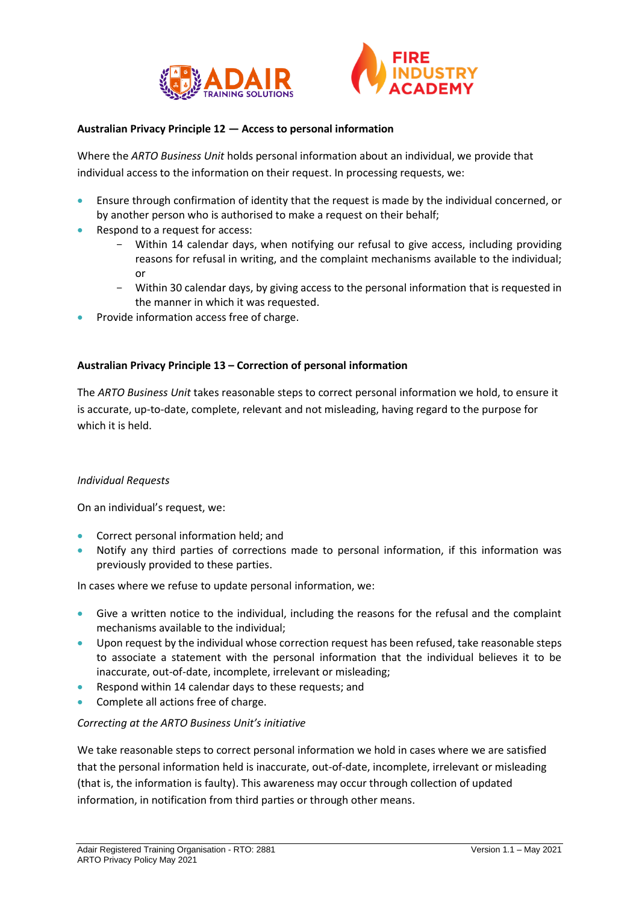



#### **Australian Privacy Principle 12 — Access to personal information**

Where the *ARTO Business Unit* holds personal information about an individual, we provide that individual access to the information on their request. In processing requests, we:

- Ensure through confirmation of identity that the request is made by the individual concerned, or by another person who is authorised to make a request on their behalf;
- Respond to a request for access:
	- Within 14 calendar days, when notifying our refusal to give access, including providing reasons for refusal in writing, and the complaint mechanisms available to the individual; or
	- Within 30 calendar days, by giving access to the personal information that is requested in the manner in which it was requested.
- Provide information access free of charge.

#### **Australian Privacy Principle 13 – Correction of personal information**

The *ARTO Business Unit* takes reasonable steps to correct personal information we hold, to ensure it is accurate, up-to-date, complete, relevant and not misleading, having regard to the purpose for which it is held.

#### *Individual Requests*

On an individual's request, we:

- Correct personal information held; and
- Notify any third parties of corrections made to personal information, if this information was previously provided to these parties.

In cases where we refuse to update personal information, we:

- Give a written notice to the individual, including the reasons for the refusal and the complaint mechanisms available to the individual;
- Upon request by the individual whose correction request has been refused, take reasonable steps to associate a statement with the personal information that the individual believes it to be inaccurate, out-of-date, incomplete, irrelevant or misleading;
- Respond within 14 calendar days to these requests; and
- Complete all actions free of charge.

#### *Correcting at the ARTO Business Unit's initiative*

We take reasonable steps to correct personal information we hold in cases where we are satisfied that the personal information held is inaccurate, out-of-date, incomplete, irrelevant or misleading (that is, the information is faulty). This awareness may occur through collection of updated information, in notification from third parties or through other means.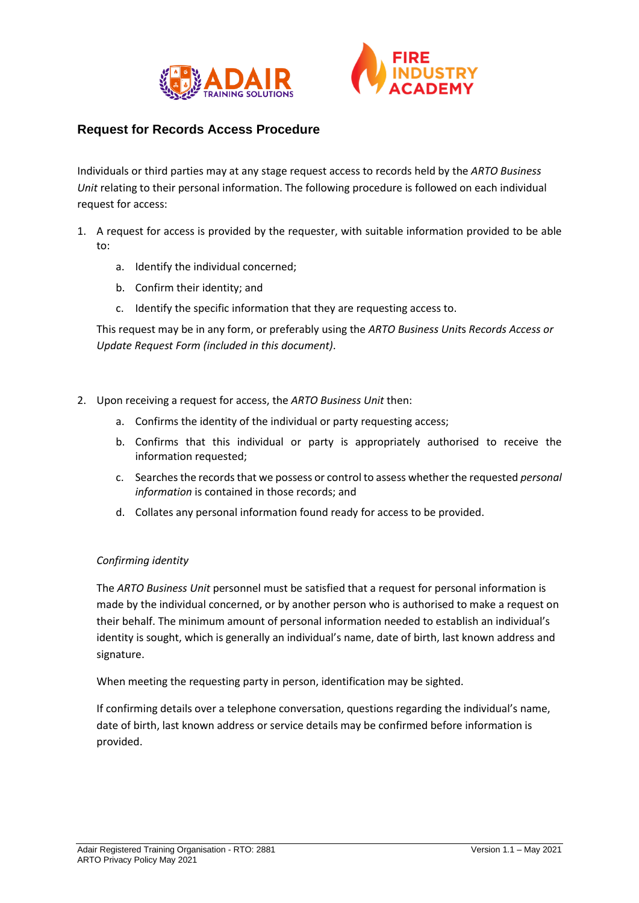



# **Request for Records Access Procedure**

Individuals or third parties may at any stage request access to records held by the *ARTO Business Unit* relating to their personal information. The following procedure is followed on each individual request for access:

- 1. A request for access is provided by the requester, with suitable information provided to be able to:
	- a. Identify the individual concerned;
	- b. Confirm their identity; and
	- c. Identify the specific information that they are requesting access to.

This request may be in any form, or preferably using the *ARTO Business Unit*s *Records Access or Update Request Form (included in this document)*.

- 2. Upon receiving a request for access, the *ARTO Business Unit* then:
	- a. Confirms the identity of the individual or party requesting access;
	- b. Confirms that this individual or party is appropriately authorised to receive the information requested;
	- c. Searches the records that we possess or control to assess whether the requested *personal information* is contained in those records; and
	- d. Collates any personal information found ready for access to be provided.

#### *Confirming identity*

The *ARTO Business Unit* personnel must be satisfied that a request for personal information is made by the individual concerned, or by another person who is authorised to make a request on their behalf. The minimum amount of personal information needed to establish an individual's identity is sought, which is generally an individual's name, date of birth, last known address and signature.

When meeting the requesting party in person, identification may be sighted.

If confirming details over a telephone conversation, questions regarding the individual's name, date of birth, last known address or service details may be confirmed before information is provided.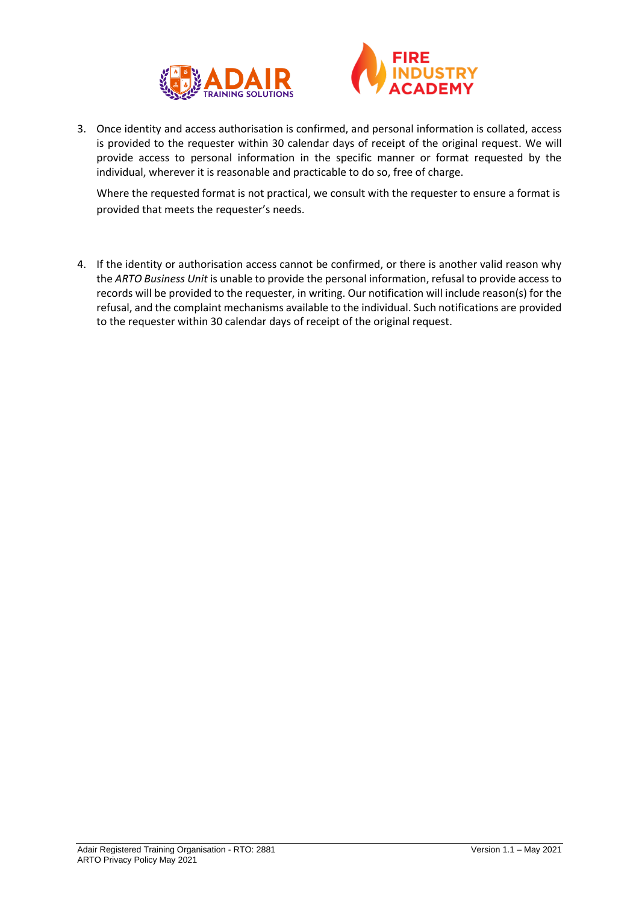



3. Once identity and access authorisation is confirmed, and personal information is collated, access is provided to the requester within 30 calendar days of receipt of the original request. We will provide access to personal information in the specific manner or format requested by the individual, wherever it is reasonable and practicable to do so, free of charge.

Where the requested format is not practical, we consult with the requester to ensure a format is provided that meets the requester's needs.

4. If the identity or authorisation access cannot be confirmed, or there is another valid reason why the *ARTO Business Unit* is unable to provide the personal information, refusal to provide access to records will be provided to the requester, in writing. Our notification will include reason(s) for the refusal, and the complaint mechanisms available to the individual. Such notifications are provided to the requester within 30 calendar days of receipt of the original request.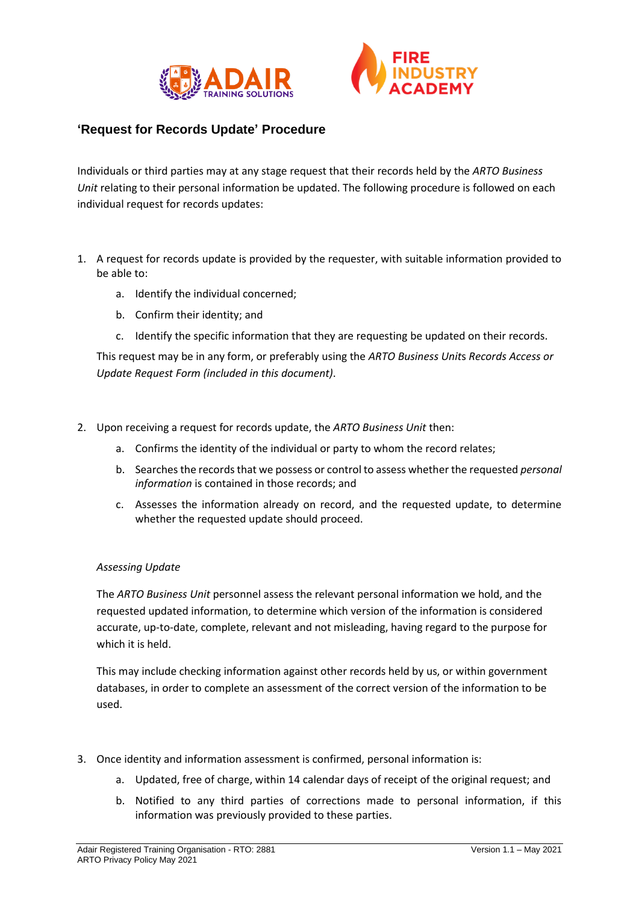



# **'Request for Records Update' Procedure**

Individuals or third parties may at any stage request that their records held by the *ARTO Business Unit* relating to their personal information be updated. The following procedure is followed on each individual request for records updates:

- 1. A request for records update is provided by the requester, with suitable information provided to be able to:
	- a. Identify the individual concerned;
	- b. Confirm their identity; and
	- c. Identify the specific information that they are requesting be updated on their records.

This request may be in any form, or preferably using the *ARTO Business Unit*s *Records Access or Update Request Form (included in this document)*.

- 2. Upon receiving a request for records update, the *ARTO Business Unit* then:
	- a. Confirms the identity of the individual or party to whom the record relates;
	- b. Searches the records that we possess or control to assess whether the requested *personal information* is contained in those records; and
	- c. Assesses the information already on record, and the requested update, to determine whether the requested update should proceed.

# *Assessing Update*

The *ARTO Business Unit* personnel assess the relevant personal information we hold, and the requested updated information, to determine which version of the information is considered accurate, up-to-date, complete, relevant and not misleading, having regard to the purpose for which it is held.

This may include checking information against other records held by us, or within government databases, in order to complete an assessment of the correct version of the information to be used.

- 3. Once identity and information assessment is confirmed, personal information is:
	- a. Updated, free of charge, within 14 calendar days of receipt of the original request; and
	- b. Notified to any third parties of corrections made to personal information, if this information was previously provided to these parties.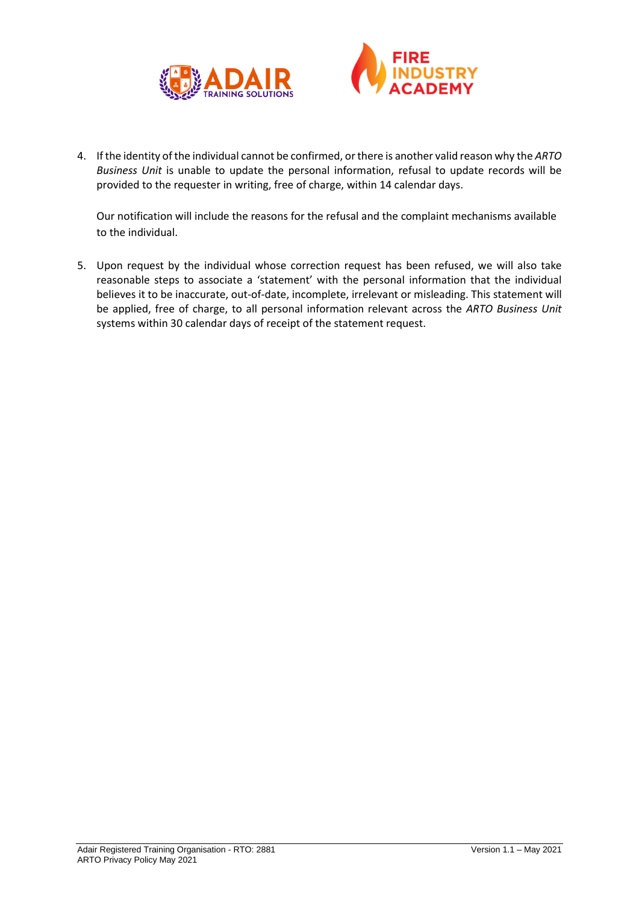



4. If the identity of the individual cannot be confirmed, or there is another valid reason why the *ARTO Business Unit* is unable to update the personal information, refusal to update records will be provided to the requester in writing, free of charge, within 14 calendar days.

Our notification will include the reasons for the refusal and the complaint mechanisms available to the individual.

5. Upon request by the individual whose correction request has been refused, we will also take reasonable steps to associate a 'statement' with the personal information that the individual believes it to be inaccurate, out-of-date, incomplete, irrelevant or misleading. This statement will be applied, free of charge, to all personal information relevant across the *ARTO Business Unit* systems within 30 calendar days of receipt of the statement request.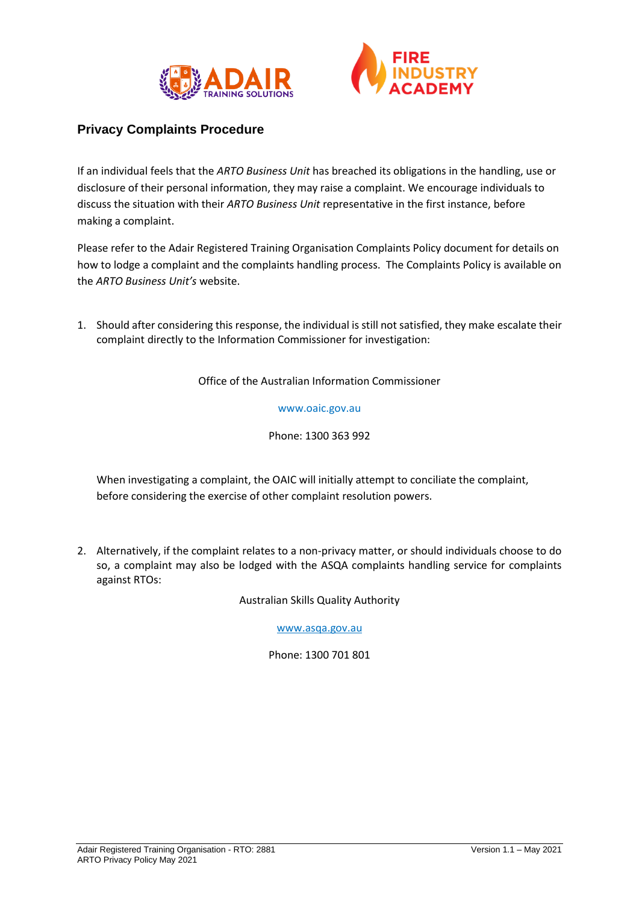



# **Privacy Complaints Procedure**

If an individual feels that the *ARTO Business Unit* has breached its obligations in the handling, use or disclosure of their personal information, they may raise a complaint. We encourage individuals to discuss the situation with their *ARTO Business Unit* representative in the first instance, before making a complaint.

Please refer to the Adair Registered Training Organisation Complaints Policy document for details on how to lodge a complaint and the complaints handling process. The Complaints Policy is available on the *ARTO Business Unit's* website.

1. Should after considering this response, the individual is still not satisfied, they make escalate their complaint directly to the Information Commissioner for investigation:

Office of the Australian Information Commissioner

#### www.oaic.gov.au

Phone: 1300 363 992

When investigating a complaint, the OAIC will initially attempt to conciliate the complaint, before considering the exercise of other complaint resolution powers.

2. Alternatively, if the complaint relates to a non-privacy matter, or should individuals choose to do so, a complaint may also be lodged with the ASQA complaints handling service for complaints against RTOs:

Australian Skills Quality Authority

[www.asqa.gov.au](http://www.asqa.gov.au/)

Phone: 1300 701 801